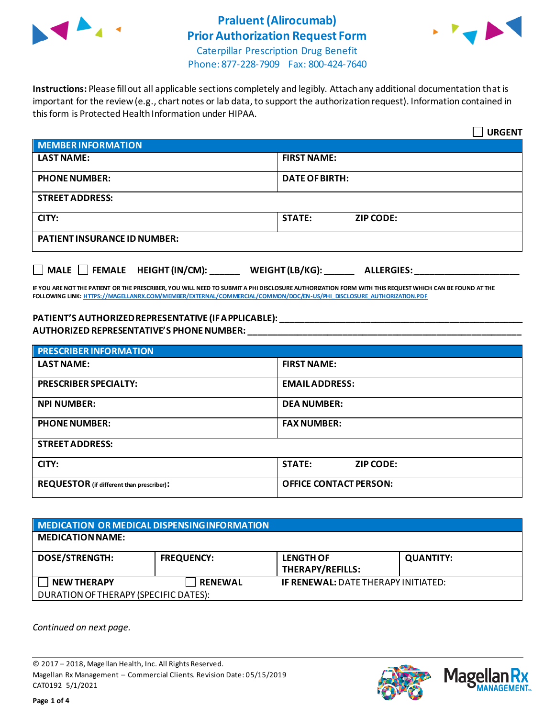

## **Praluent(Alirocumab) Prior Authorization Request Form**



Caterpillar Prescription Drug Benefit Phone: 877-228-7909 Fax: 800-424-7640

**Instructions:** Please fill out all applicable sections completely and legibly. Attach any additional documentation that is important for the review (e.g., chart notes or lab data, to support the authorization request). Information contained in this form is Protected Health Information under HIPAA.

|                                                                                   | <b>URGENT</b>                     |  |  |  |
|-----------------------------------------------------------------------------------|-----------------------------------|--|--|--|
| <b>MEMBER INFORMATION</b>                                                         |                                   |  |  |  |
| <b>LAST NAME:</b>                                                                 | <b>FIRST NAME:</b>                |  |  |  |
| <b>PHONE NUMBER:</b>                                                              | <b>DATE OF BIRTH:</b>             |  |  |  |
| <b>STREET ADDRESS:</b>                                                            |                                   |  |  |  |
| CITY:                                                                             | <b>STATE:</b><br><b>ZIP CODE:</b> |  |  |  |
| <b>PATIENT INSURANCE ID NUMBER:</b>                                               |                                   |  |  |  |
| $\Box$ MALE $\Box$ FEMALE HEIGHT (IN/CM):<br>WEIGHT (LB/KG):<br><b>ALLERGIES:</b> |                                   |  |  |  |

**IF YOU ARE NOT THE PATIENT OR THE PRESCRIBER, YOU WILL NEED TO SUBMIT A PHI DISCLOSURE AUTHORIZATION FORM WITH THIS REQUEST WHICH CAN BE FOUND AT THE FOLLOWING LINK[: HTTPS://MAGELLANRX.COM/MEMBER/EXTERNAL/COMMERCIAL/COMMON/DOC/EN-US/PHI\\_DISCLOSURE\\_AUTHORIZATION.PDF](https://magellanrx.com/member/external/commercial/common/doc/en-us/PHI_Disclosure_Authorization.pdf)**

## **PATIENT'S AUTHORIZED REPRESENTATIVE (IF APPLICABLE): \_\_\_\_\_\_\_\_\_\_\_\_\_\_\_\_\_\_\_\_\_\_\_\_\_\_\_\_\_\_\_\_\_\_\_\_\_\_\_\_\_\_\_\_\_\_\_\_\_ AUTHORIZED REPRESENTATIVE'S PHONE NUMBER: \_\_\_\_\_\_\_\_\_\_\_\_\_\_\_\_\_\_\_\_\_\_\_\_\_\_\_\_\_\_\_\_\_\_\_\_\_\_\_\_\_\_\_\_\_\_\_\_\_\_\_\_\_\_\_**

| <b>PRESCRIBER INFORMATION</b>             |                                   |  |
|-------------------------------------------|-----------------------------------|--|
| <b>LAST NAME:</b>                         | <b>FIRST NAME:</b>                |  |
| <b>PRESCRIBER SPECIALTY:</b>              | <b>EMAIL ADDRESS:</b>             |  |
| <b>NPI NUMBER:</b>                        | <b>DEA NUMBER:</b>                |  |
| <b>PHONE NUMBER:</b>                      | <b>FAX NUMBER:</b>                |  |
| <b>STREET ADDRESS:</b>                    |                                   |  |
| CITY:                                     | <b>STATE:</b><br><b>ZIP CODE:</b> |  |
| REQUESTOR (if different than prescriber): | <b>OFFICE CONTACT PERSON:</b>     |  |

| <b>MEDICATION OR MEDICAL DISPENSING INFORMATION</b> |                   |                                            |                  |  |  |
|-----------------------------------------------------|-------------------|--------------------------------------------|------------------|--|--|
| <b>MEDICATION NAME:</b>                             |                   |                                            |                  |  |  |
| <b>DOSE/STRENGTH:</b>                               | <b>FREQUENCY:</b> | <b>LENGTH OF</b><br>THERAPY/REFILLS:       | <b>QUANTITY:</b> |  |  |
| <b>NEW THERAPY</b>                                  | <b>RENEWAL</b>    | <b>IF RENEWAL: DATE THERAPY INITIATED:</b> |                  |  |  |
| DURATION OF THERAPY (SPECIFIC DATES):               |                   |                                            |                  |  |  |

*Continued on next page.*

© 2017 – 2018, Magellan Health, Inc. All Rights Reserved. Magellan Rx Management – Commercial Clients. Revision Date: 05/15/2019 CAT0192 5/1/2021



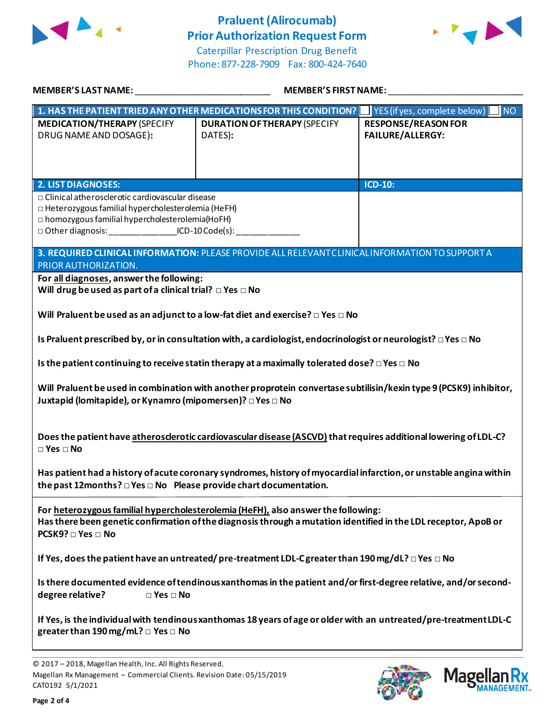

## **Praluent(Alirocumab) Prior Authorization Request Form**



Caterpillar Prescription Drug Benefit Phone: 877-228-7909 Fax: 800-424-7640

| <b>MEMBER'S LAST NAME:</b> THE MEMBER'S LAST NAME:                                                                                                                                                                                                   | <b>MEMBER'S FIRST NAME:</b>                                                                                  |                                                       |  |  |
|------------------------------------------------------------------------------------------------------------------------------------------------------------------------------------------------------------------------------------------------------|--------------------------------------------------------------------------------------------------------------|-------------------------------------------------------|--|--|
|                                                                                                                                                                                                                                                      | 1. HAS THE PATIENT TRIED ANY OTHER MEDICATIONS FOR THIS CONDITION? IF YES (if yes, complete below)           | $\blacksquare$ NO                                     |  |  |
| <b>MEDICATION/THERAPY (SPECIFY</b><br>DRUG NAME AND DOSAGE):                                                                                                                                                                                         | <b>DURATION OF THERAPY (SPECIFY</b><br>DATES):                                                               | <b>RESPONSE/REASON FOR</b><br><b>FAILURE/ALLERGY:</b> |  |  |
| <b>2. LIST DIAGNOSES:</b>                                                                                                                                                                                                                            |                                                                                                              | <b>ICD-10:</b>                                        |  |  |
| □ Clinical atherosclerotic cardiovascular disease<br>□ Heterozygous familial hypercholesterolemia (HeFH)<br>$\Box$ homozygous familial hypercholesterolemia(HoFH)<br>□ Other diagnosis: ___________________ICD-10 Code(s): _________________________ |                                                                                                              |                                                       |  |  |
| PRIOR AUTHORIZATION.                                                                                                                                                                                                                                 | 3. REQUIRED CLINICAL INFORMATION: PLEASE PROVIDE ALL RELEVANT CLINICAL INFORMATION TO SUPPORT A              |                                                       |  |  |
| For all diagnoses, answer the following:<br>Will drug be used as part of a clinical trial? $\Box$ Yes $\Box$ No                                                                                                                                      |                                                                                                              |                                                       |  |  |
|                                                                                                                                                                                                                                                      | Will Praluent be used as an adjunct to a low-fat diet and exercise? $\Box$ Yes $\Box$ No                     |                                                       |  |  |
| Is Praluent prescribed by, or in consultation with, a cardiologist, endocrinologist or neurologist? $\Box$ Yes $\Box$ No                                                                                                                             |                                                                                                              |                                                       |  |  |
|                                                                                                                                                                                                                                                      | Is the patient continuing to receive statin therapy at a maximally tolerated dose? $\Box$ Yes $\Box$ No      |                                                       |  |  |
| Will Praluent be used in combination with another proprotein convertase subtilisin/kexin type 9 (PCSK9) inhibitor,<br>Juxtapid (lomitapide), or Kynamro (mipomersen)? □ Yes □ No                                                                     |                                                                                                              |                                                       |  |  |
| Does the patient have atherosclerotic cardiovascular disease (ASCVD) that requires additional lowering of LDL-C?<br>$\square$ Yes $\square$ No                                                                                                       |                                                                                                              |                                                       |  |  |
| Has patient had a history of acute coronary syndromes, history of myocardial infarction, or unstable angina within<br>the past 12 months? $\square$ Yes $\square$ No Please provide chart documentation.                                             |                                                                                                              |                                                       |  |  |
| For heterozygous familial hypercholesterolemia (HeFH), also answer the following:<br>Has there been genetic confirmation of the diagnosis through a mutation identified in the LDL receptor, ApoB or<br>PCSK9? □ Yes □ No                            |                                                                                                              |                                                       |  |  |
|                                                                                                                                                                                                                                                      | If Yes, does the patient have an untreated/ pre-treatment LDL-C greater than 190 mg/dL? $\Box$ Yes $\Box$ No |                                                       |  |  |
| Is there documented evidence of tendinous xanthomas in the patient and/or first-degree relative, and/or second-<br>degree relative?<br>$\square$ Yes $\square$ No                                                                                    |                                                                                                              |                                                       |  |  |
| If Yes, is the individual with tendinous xanthomas 18 years of age or older with an untreated/pre-treatment LDL-C<br>greater than 190 mg/mL? $\Box$ Yes $\Box$ No                                                                                    |                                                                                                              |                                                       |  |  |





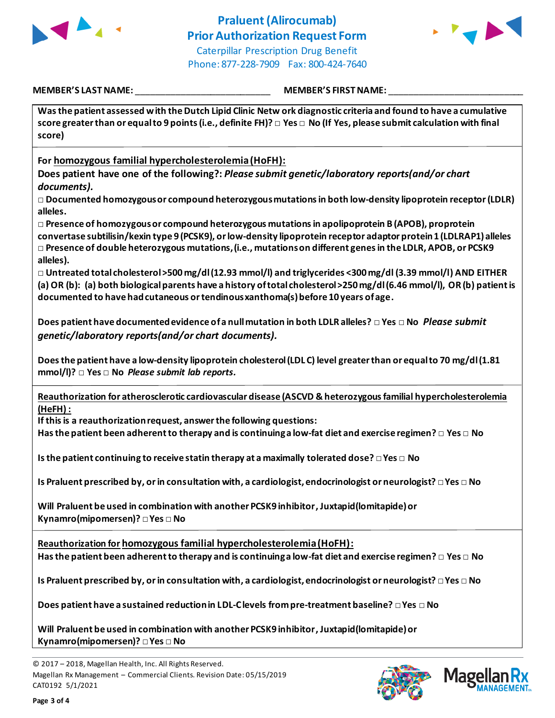



**MEMBER'S LAST NAME:** \_\_\_\_\_\_\_\_\_\_\_\_\_\_\_\_\_\_\_\_\_\_\_\_\_\_\_ **MEMBER'S FIRST NAME:** \_\_\_\_\_\_\_\_\_\_\_\_\_\_\_\_\_\_\_\_\_\_\_\_\_\_\_

**Was the patient assessed w ith the Dutch Lipid Clinic Netw ork diagnostic criteria and found to have a cumulative score greater than or equal to 9 points (i.e., definite FH)? □ Yes □ No (If Yes, please submit calculation with final score)**

**For homozygous familial hypercholesterolemia (HoFH):**

**Does patient have one of the following?:** *Please submit genetic/laboratory reports(and/or chart documents).*

**□ Documented homozygous or compound heterozygous mutations in both low-density lipoprotein receptor (LDLR) alleles.**

**□ Presence of homozygous or compound heterozygous mutations in apolipoprotein B (APOB), proprotein convertase subtilisin/kexin type 9 (PCSK9), or low-density lipoprotein receptor adaptor protein 1 (LDLRAP1) alleles □ Presence of double heterozygous mutations, (i.e., mutations on different genes in the LDLR, APOB, or PCSK9 alleles).**

**□ Untreated total cholesterol >500 mg/dl (12.93 mmol/l) and triglycerides <300 mg/dl (3.39 mmol/l) AND EITHER (a) OR (b): (a) both biological parents have a history of total cholesterol >250 mg/dl (6.46 mmol/l), OR (b) patient is documented to have had cutaneous or tendinous xanthoma(s) before 10 years of age.**

**Does patient have documented evidence of a null mutation in both LDLR alleles? □ Yes □ No** *Please submit genetic/laboratory reports(and/or chart documents).*

**Does the patient have a low-density lipoprotein cholesterol (LDL C) level greater than or equal to 70 mg/dl (1.81 mmol/l)? □ Yes □ No** *Please submit lab reports.*

**Reauthorization for atherosclerotic cardiovascular disease (ASCVD & heterozygous familial hypercholesterolemia (HeFH) :**

**If this is a reauthorization request, answer the following questions:**

**Has the patient been adherent to therapy and is continuing a low-fat diet and exercise regimen? □ Yes □ No**

**Is the patient continuing to receive statin therapy at a maximally tolerated dose? □ Yes □ No**

**Is Praluent prescribed by, or in consultation with, a cardiologist, endocrinologist or neurologist? □ Yes □ No**

**Will Praluent be used in combination with another PCSK9 inhibitor, Juxtapid(lomitapide) or Kynamro(mipomersen)? □ Yes □ No**

**Reauthorization for homozygous familial hypercholesterolemia (HoFH):**

**Has the patient been adherent to therapy and is continuing a low-fat diet and exercise regimen? □ Yes □ No**

**Is Praluent prescribed by, or in consultation with, a cardiologist, endocrinologist or neurologist? □ Yes □ No**

**Does patient have a sustained reduction in LDL-C levels from pre-treatment baseline? □ Yes □ No**

**Will Praluent be used in combination with another PCSK9 inhibitor, Juxtapid(lomitapide) or Kynamro(mipomersen)? □ Yes □ No**

© 2017 – 2018, Magellan Health, Inc. All Rights Reserved. Magellan Rx Management – Commercial Clients. Revision Date: 05/15/2019 CAT0192 5/1/2021